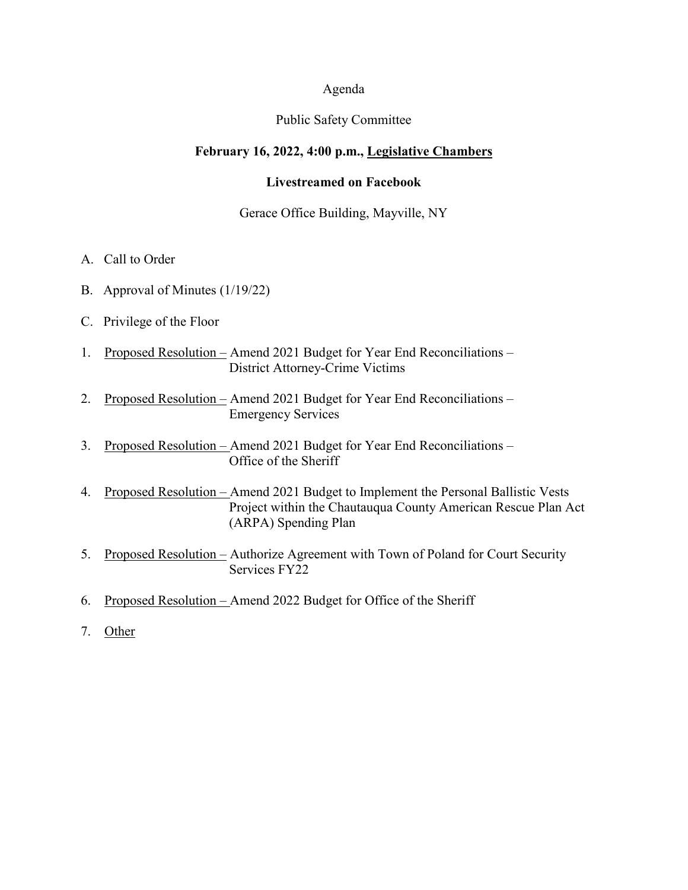### Agenda

#### Public Safety Committee

### **February 16, 2022, 4:00 p.m., Legislative Chambers**

### **Livestreamed on Facebook**

### Gerace Office Building, Mayville, NY

- A. Call to Order
- B. Approval of Minutes (1/19/22)
- C. Privilege of the Floor
- 1. Proposed Resolution Amend 2021 Budget for Year End Reconciliations District Attorney-Crime Victims
- 2. Proposed Resolution Amend 2021 Budget for Year End Reconciliations Emergency Services
- 3. Proposed Resolution Amend 2021 Budget for Year End Reconciliations Office of the Sheriff
- 4. Proposed Resolution Amend 2021 Budget to Implement the Personal Ballistic Vests Project within the Chautauqua County American Rescue Plan Act (ARPA) Spending Plan
- 5. Proposed Resolution Authorize Agreement with Town of Poland for Court Security Services FY22
- 6. Proposed Resolution Amend 2022 Budget for Office of the Sheriff
- 7. Other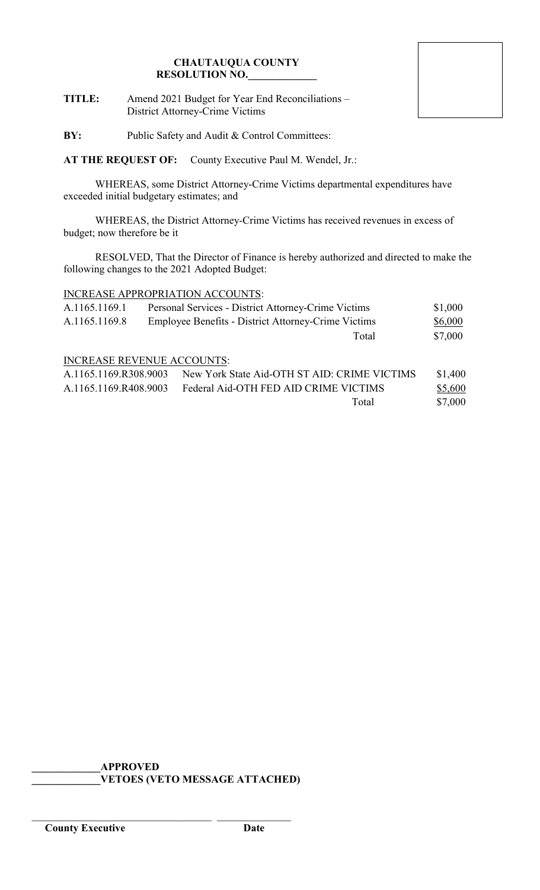**TITLE:** Amend 2021 Budget for Year End Reconciliations – District Attorney-Crime Victims

**BY:** Public Safety and Audit & Control Committees:

**AT THE REQUEST OF:** County Executive Paul M. Wendel, Jr.:

WHEREAS, some District Attorney-Crime Victims departmental expenditures have exceeded initial budgetary estimates; and

WHEREAS, the District Attorney-Crime Victims has received revenues in excess of budget; now therefore be it

RESOLVED, That the Director of Finance is hereby authorized and directed to make the following changes to the 2021 Adopted Budget:

# INCREASE APPROPRIATION ACCOUNTS:

| A.1165.1169.1 | Personal Services - District Attorney-Crime Victims | \$1,000 |
|---------------|-----------------------------------------------------|---------|
| A.1165.1169.8 | Employee Benefits - District Attorney-Crime Victims | \$6,000 |
|               | Total                                               | \$7,000 |

# INCREASE REVENUE ACCOUNTS:

| A.1165.1169.R308.9003 | New York State Aid-OTH ST AID: CRIME VICTIMS | \$1,400 |
|-----------------------|----------------------------------------------|---------|
| A.1165.1169.R408.9003 | Federal Aid-OTH FED AID CRIME VICTIMS        | \$5,600 |
|                       | Total                                        | \$7,000 |

**\_\_\_\_\_\_\_\_\_\_\_\_\_APPROVED \_\_\_\_\_\_\_\_\_\_\_\_\_VETOES (VETO MESSAGE ATTACHED)**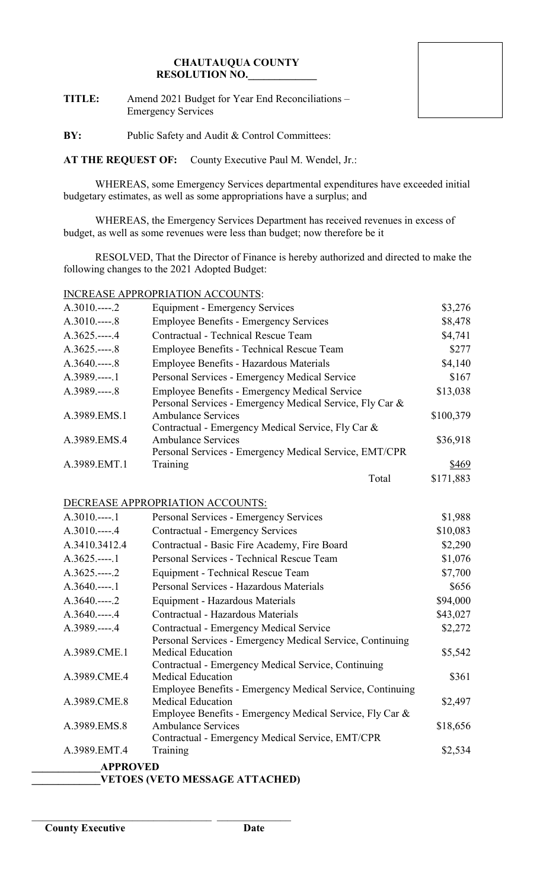**TITLE:** Amend 2021 Budget for Year End Reconciliations – Emergency Services

**BY:** Public Safety and Audit & Control Committees:

**AT THE REQUEST OF:** County Executive Paul M. Wendel, Jr.:

WHEREAS, some Emergency Services departmental expenditures have exceeded initial budgetary estimates, as well as some appropriations have a surplus; and

WHEREAS, the Emergency Services Department has received revenues in excess of budget, as well as some revenues were less than budget; now therefore be it

RESOLVED, That the Director of Finance is hereby authorized and directed to make the following changes to the 2021 Adopted Budget:

# INCREASE APPROPRIATION ACCOUNTS:

| $A.3010---2$     | <b>Equipment - Emergency Services</b>                     | \$3,276   |
|------------------|-----------------------------------------------------------|-----------|
| $A.3010---8$     | <b>Employee Benefits - Emergency Services</b>             | \$8,478   |
| $A.3625$ .----.4 | Contractual - Technical Rescue Team                       | \$4,741   |
| $A.3625 - 8$     | Employee Benefits - Technical Rescue Team                 | \$277     |
| $A.3640$ 8       | Employee Benefits - Hazardous Materials                   | \$4,140   |
| A.3989.----.1    | Personal Services - Emergency Medical Service             | \$167     |
| A.3989.----.8    | <b>Employee Benefits - Emergency Medical Service</b>      | \$13,038  |
|                  | Personal Services - Emergency Medical Service, Fly Car &  |           |
| A.3989.EMS.1     | <b>Ambulance Services</b>                                 | \$100,379 |
|                  | Contractual - Emergency Medical Service, Fly Car &        |           |
| A.3989.EMS.4     | <b>Ambulance Services</b>                                 | \$36,918  |
| A.3989.EMT.1     | Personal Services - Emergency Medical Service, EMT/CPR    |           |
|                  | Training                                                  | \$469     |
|                  | Total                                                     | \$171,883 |
|                  | DECREASE APPROPRIATION ACCOUNTS:                          |           |
| $A.3010$ 1       | Personal Services - Emergency Services                    | \$1,988   |
| $A.3010$ 4       | Contractual - Emergency Services                          | \$10,083  |
| A.3410.3412.4    | Contractual - Basic Fire Academy, Fire Board              | \$2,290   |
| $A.3625$ .----.1 | Personal Services - Technical Rescue Team                 | \$1,076   |
| $A.3625.---2$    | Equipment - Technical Rescue Team                         | \$7,700   |
| $A.3640---1$     | Personal Services - Hazardous Materials                   | \$656     |
| $A.3640$ .----.2 | Equipment - Hazardous Materials                           | \$94,000  |
| $A.3640---4$     | Contractual - Hazardous Materials                         | \$43,027  |
| A.3989.----.4    | Contractual - Emergency Medical Service                   | \$2,272   |
|                  | Personal Services - Emergency Medical Service, Continuing |           |
| A.3989.CME.1     | <b>Medical Education</b>                                  | \$5,542   |
|                  | Contractual - Emergency Medical Service, Continuing       |           |
| A.3989.CME.4     | <b>Medical Education</b>                                  | \$361     |
|                  | Employee Benefits - Emergency Medical Service, Continuing |           |
| A.3989.CME.8     | <b>Medical Education</b>                                  | \$2,497   |
|                  | Employee Benefits - Emergency Medical Service, Fly Car &  |           |

**\_\_\_\_\_\_\_\_\_\_\_\_\_APPROVED** A.3989.EMT.4 Training \$2,534

**\_\_\_\_\_\_\_\_\_\_\_\_\_VETOES (VETO MESSAGE ATTACHED)**

\_\_\_\_\_\_\_\_\_\_\_\_\_\_\_\_\_\_\_\_\_\_\_\_\_\_\_\_\_\_\_\_\_\_ \_\_\_\_\_\_\_\_\_\_\_\_\_\_

A.3989.EMS.8

Contractual - Emergency Medical Service, EMT/CPR

Ambulance Services  $$18,656$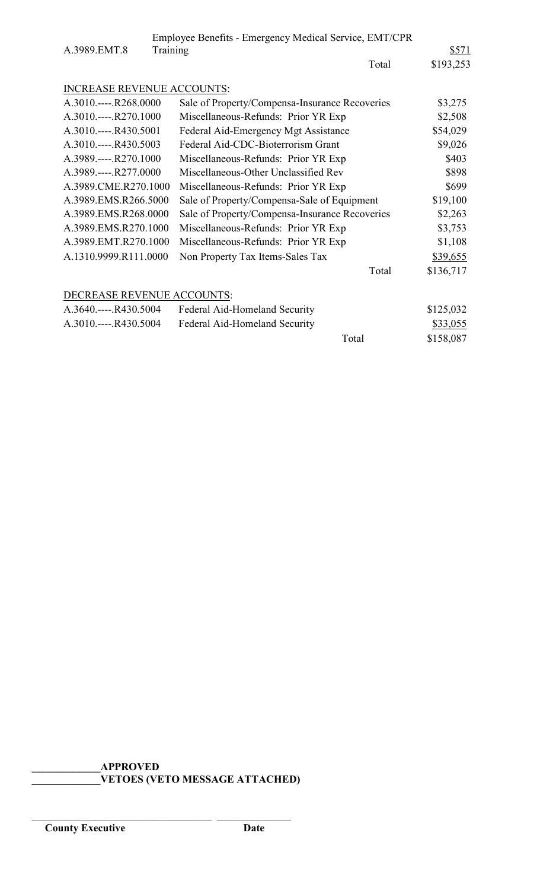|                                   | Employee Benefits - Emergency Medical Service, EMT/CPR |           |  |
|-----------------------------------|--------------------------------------------------------|-----------|--|
| A.3989.EMT.8                      | Training                                               | \$571     |  |
|                                   | Total                                                  | \$193,253 |  |
|                                   |                                                        |           |  |
| <b>INCREASE REVENUE ACCOUNTS:</b> |                                                        |           |  |
| A.3010.----.R268.0000             | Sale of Property/Compensa-Insurance Recoveries         | \$3,275   |  |
| A.3010.----.R270.1000             | Miscellaneous-Refunds: Prior YR Exp                    | \$2,508   |  |
| A.3010.----.R430.5001             | Federal Aid-Emergency Mgt Assistance                   | \$54,029  |  |
| A.3010.----.R430.5003             | Federal Aid-CDC-Bioterrorism Grant                     | \$9,026   |  |
| A.3989.----.R270.1000             | Miscellaneous-Refunds: Prior YR Exp                    | \$403     |  |
| A.3989.----.R277.0000             | Miscellaneous-Other Unclassified Rev                   | \$898     |  |
| A.3989.CME.R270.1000              | Miscellaneous-Refunds: Prior YR Exp                    | \$699     |  |
| A.3989.EMS.R266.5000              | Sale of Property/Compensa-Sale of Equipment            | \$19,100  |  |
| A.3989.EMS.R268.0000              | Sale of Property/Compensa-Insurance Recoveries         | \$2,263   |  |
| A.3989.EMS.R270.1000              | Miscellaneous-Refunds: Prior YR Exp                    | \$3,753   |  |
| A.3989.EMT.R270.1000              | Miscellaneous-Refunds: Prior YR Exp                    | \$1,108   |  |
| A.1310.9999.R111.0000             | Non Property Tax Items-Sales Tax                       | \$39,655  |  |
|                                   | Total                                                  | \$136,717 |  |
|                                   |                                                        |           |  |
| DECREASE REVENUE ACCOUNTS:        |                                                        |           |  |
| A.3640.----.R430.5004             | Federal Aid-Homeland Security                          | \$125,032 |  |
| A.3010.----.R430.5004             | Federal Aid-Homeland Security                          | \$33,055  |  |
|                                   | Total                                                  | \$158,087 |  |
|                                   |                                                        |           |  |

**\_\_\_\_\_\_\_\_\_\_\_\_\_APPROVED \_\_\_\_\_\_\_\_\_\_\_\_\_VETOES (VETO MESSAGE ATTACHED)**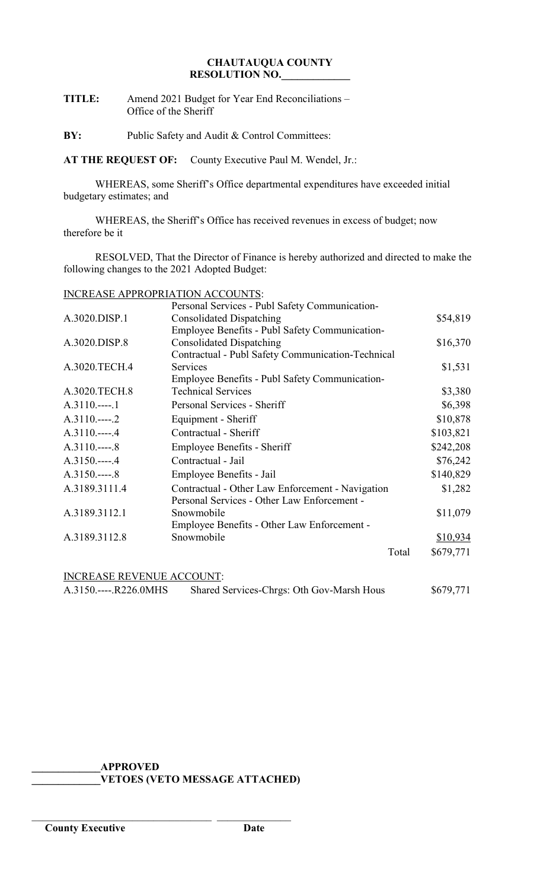# **TITLE:** Amend 2021 Budget for Year End Reconciliations – Office of the Sheriff

**BY:** Public Safety and Audit & Control Committees:

**AT THE REQUEST OF:** County Executive Paul M. Wendel, Jr.:

WHEREAS, some Sheriff's Office departmental expenditures have exceeded initial budgetary estimates; and

WHEREAS, the Sheriff's Office has received revenues in excess of budget; now therefore be it

RESOLVED, That the Director of Finance is hereby authorized and directed to make the following changes to the 2021 Adopted Budget:

## INCREASE APPROPRIATION ACCOUNTS:

|                                  | Personal Services - Publ Safety Communication-    |           |
|----------------------------------|---------------------------------------------------|-----------|
| A.3020.DISP.1                    | <b>Consolidated Dispatching</b>                   | \$54,819  |
|                                  | Employee Benefits - Publ Safety Communication-    |           |
| A.3020.DISP.8                    | <b>Consolidated Dispatching</b>                   | \$16,370  |
|                                  | Contractual - Publ Safety Communication-Technical |           |
| A.3020.TECH.4                    | Services                                          | \$1,531   |
|                                  | Employee Benefits - Publ Safety Communication-    |           |
| A.3020.TECH.8                    | <b>Technical Services</b>                         | \$3,380   |
| $A.3110---1$                     | Personal Services - Sheriff                       | \$6,398   |
| $A.3110---2$                     | Equipment - Sheriff                               | \$10,878  |
| $A.3110.---.4$                   | Contractual - Sheriff                             | \$103,821 |
| $A.3110---8$                     | <b>Employee Benefits - Sheriff</b>                | \$242,208 |
| $A.3150---4$                     | Contractual - Jail                                | \$76,242  |
| $A.3150---8$                     | Employee Benefits - Jail                          | \$140,829 |
| A.3189.3111.4                    | Contractual - Other Law Enforcement - Navigation  | \$1,282   |
|                                  | Personal Services - Other Law Enforcement -       |           |
| A.3189.3112.1                    | Snowmobile                                        | \$11,079  |
|                                  | Employee Benefits - Other Law Enforcement -       |           |
| A.3189.3112.8                    | Snowmobile                                        | \$10,934  |
|                                  | Total                                             | \$679,771 |
| <b>INCREASE REVENUE ACCOUNT:</b> |                                                   |           |
| A.3150.----.R226.0MHS            | Shared Services-Chrgs: Oth Gov-Marsh Hous         | \$679,771 |

# **\_\_\_\_\_\_\_\_\_\_\_\_\_APPROVED**

\_\_\_\_\_\_\_\_\_\_\_\_\_\_\_\_\_\_\_\_\_\_\_\_\_\_\_\_\_\_\_\_\_\_ \_\_\_\_\_\_\_\_\_\_\_\_\_\_

**\_\_\_\_\_\_\_\_\_\_\_\_\_VETOES (VETO MESSAGE ATTACHED)**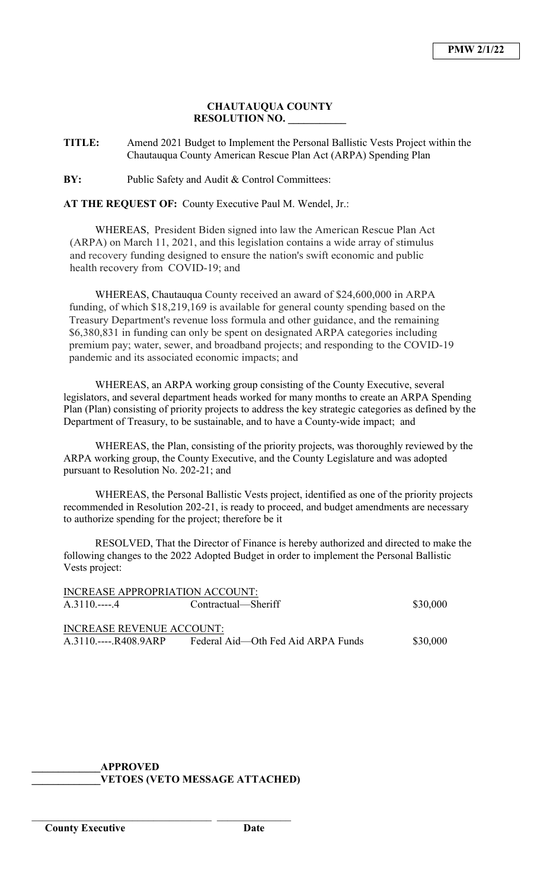**TITLE:** Amend 2021 Budget to Implement the Personal Ballistic Vests Project within the Chautauqua County American Rescue Plan Act (ARPA) Spending Plan

**BY:** Public Safety and Audit & Control Committees:

**AT THE REQUEST OF:** County Executive Paul M. Wendel, Jr.:

WHEREAS, President Biden signed into law the American Rescue Plan Act (ARPA) on March 11, 2021, and this legislation contains a wide array of stimulus and recovery funding designed to ensure the nation's swift economic and public health recovery from COVID-19; and

WHEREAS, Chautauqua County received an award of \$24,600,000 in ARPA funding, of which \$18,219,169 is available for general county spending based on the Treasury Department's revenue loss formula and other guidance, and the remaining \$6,380,831 in funding can only be spent on designated ARPA categories including premium pay; water, sewer, and broadband projects; and responding to the COVID-19 pandemic and its associated economic impacts; and

WHEREAS, an ARPA working group consisting of the County Executive, several legislators, and several department heads worked for many months to create an ARPA Spending Plan (Plan) consisting of priority projects to address the key strategic categories as defined by the Department of Treasury, to be sustainable, and to have a County-wide impact; and

WHEREAS, the Plan, consisting of the priority projects, was thoroughly reviewed by the ARPA working group, the County Executive, and the County Legislature and was adopted pursuant to Resolution No. 202-21; and

WHEREAS, the Personal Ballistic Vests project, identified as one of the priority projects recommended in Resolution 202-21, is ready to proceed, and budget amendments are necessary to authorize spending for the project; therefore be it

RESOLVED, That the Director of Finance is hereby authorized and directed to make the following changes to the 2022 Adopted Budget in order to implement the Personal Ballistic Vests project:

| INCREASE APPROPRIATION ACCOUNT:  |                                    |          |  |
|----------------------------------|------------------------------------|----------|--|
| $A.3110.---4$                    | Contractual—Sheriff                | \$30,000 |  |
|                                  |                                    |          |  |
| <b>INCREASE REVENUE ACCOUNT:</b> |                                    |          |  |
| $A.3110.---R408.9ARP$            | Federal Aid—Oth Fed Aid ARPA Funds | \$30,000 |  |

# **\_\_\_\_\_\_\_\_\_\_\_\_\_APPROVED \_\_\_\_\_\_\_\_\_\_\_\_\_VETOES (VETO MESSAGE ATTACHED)**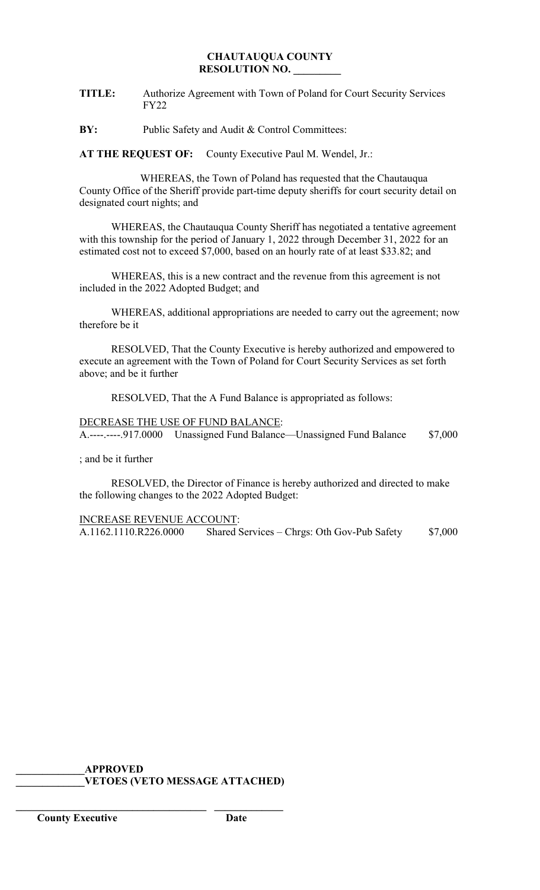**TITLE:** Authorize Agreement with Town of Poland for Court Security Services FY22

**BY:** Public Safety and Audit & Control Committees:

**AT THE REQUEST OF:** County Executive Paul M. Wendel, Jr.:

 WHEREAS, the Town of Poland has requested that the Chautauqua County Office of the Sheriff provide part-time deputy sheriffs for court security detail on designated court nights; and

WHEREAS, the Chautauqua County Sheriff has negotiated a tentative agreement with this township for the period of January 1, 2022 through December 31, 2022 for an estimated cost not to exceed \$7,000, based on an hourly rate of at least \$33.82; and

WHEREAS, this is a new contract and the revenue from this agreement is not included in the 2022 Adopted Budget; and

WHEREAS, additional appropriations are needed to carry out the agreement; now therefore be it

RESOLVED, That the County Executive is hereby authorized and empowered to execute an agreement with the Town of Poland for Court Security Services as set forth above; and be it further

RESOLVED, That the A Fund Balance is appropriated as follows:

DECREASE THE USE OF FUND BALANCE: A.----.----.917.0000 Unassigned Fund Balance—Unassigned Fund Balance \$7,000

; and be it further

RESOLVED, the Director of Finance is hereby authorized and directed to make the following changes to the 2022 Adopted Budget:

INCREASE REVENUE ACCOUNT:

A.1162.1110.R226.0000 Shared Services – Chrgs: Oth Gov-Pub Safety \$7,000

**\_\_\_\_\_\_\_\_\_\_\_\_\_APPROVED \_\_\_\_\_\_\_\_\_\_\_\_\_VETOES (VETO MESSAGE ATTACHED)**